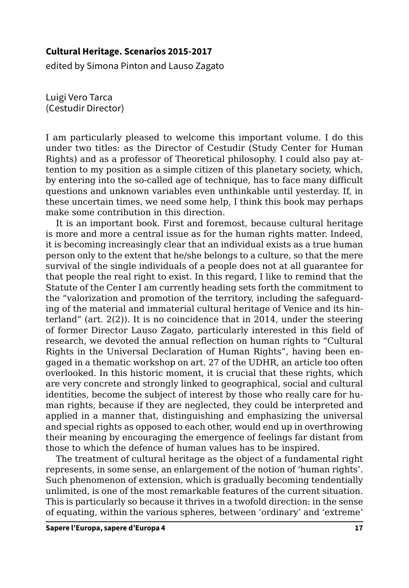## **Cultural Heritage. Scenarios 2015-2017**

edited by Simona Pinton and Lauso Zagato

Luigi Vero Tarca (Cestudir Director)

I am particularly pleased to welcome this important volume. I do this under two titles: as the Director of Cestudir (Study Center for Human Rights) and as a professor of Theoretical philosophy. I could also pay attention to my position as a simple citizen of this planetary society, which, by entering into the so-called age of technique, has to face many difficult questions and unknown variables even unthinkable until yesterday. If, in these uncertain times, we need some help, I think this book may perhaps make some contribution in this direction.

It is an important book. First and foremost, because cultural heritage is more and more a central issue as for the human rights matter. Indeed, it is becoming increasingly clear that an individual exists as a true human person only to the extent that he/she belongs to a culture, so that the mere survival of the single individuals of a people does not at all guarantee for that people the real right to exist. In this regard, I like to remind that the Statute of the Center I am currently heading sets forth the commitment to the "valorization and promotion of the territory, including the safeguarding of the material and immaterial cultural heritage of Venice and its hinterland" (art. 2(2)). It is no coincidence that in 2014, under the steering of former Director Lauso Zagato, particularly interested in this field of research, we devoted the annual reflection on human rights to "Cultural Rights in the Universal Declaration of Human Rights", having been engaged in a thematic workshop on art. 27 of the UDHR, an article too often overlooked. In this historic moment, it is crucial that these rights, which are very concrete and strongly linked to geographical, social and cultural identities, become the subject of interest by those who really care for human rights, because if they are neglected, they could be interpreted and applied in a manner that, distinguishing and emphasizing the universal and special rights as opposed to each other, would end up in overthrowing their meaning by encouraging the emergence of feelings far distant from those to which the defence of human values has to be inspired.

The treatment of cultural heritage as the object of a fundamental right represents, in some sense, an enlargement of the notion of 'human rights'. Such phenomenon of extension, which is gradually becoming tendentially unlimited, is one of the most remarkable features of the current situation. This is particularly so because it thrives in a twofold direction: in the sense of equating, within the various spheres, between 'ordinary' and 'extreme'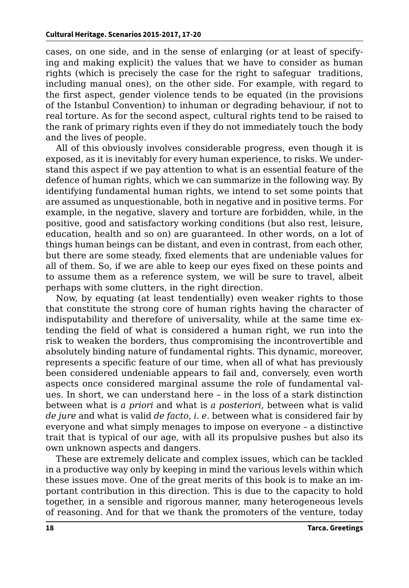cases, on one side, and in the sense of enlarging (or at least of specifying and making explicit) the values that we have to consider as human rights (which is precisely the case for the right to safeguar traditions, including manual ones), on the other side. For example, with regard to the first aspect, gender violence tends to be equated (in the provisions of the Istanbul Convention) to inhuman or degrading behaviour, if not to real torture. As for the second aspect, cultural rights tend to be raised to the rank of primary rights even if they do not immediately touch the body and the lives of people.

All of this obviously involves considerable progress, even though it is exposed, as it is inevitably for every human experience, to risks. We understand this aspect if we pay attention to what is an essential feature of the defence of human rights, which we can summarize in the following way. By identifying fundamental human rights, we intend to set some points that are assumed as unquestionable, both in negative and in positive terms. For example, in the negative, slavery and torture are forbidden, while, in the positive, good and satisfactory working conditions (but also rest, leisure, education, health and so on) are guaranteed. In other words, on a lot of things human beings can be distant, and even in contrast, from each other, but there are some steady, fixed elements that are undeniable values for all of them. So, if we are able to keep our eyes fixed on these points and to assume them as a reference system, we will be sure to travel, albeit perhaps with some clutters, in the right direction.

Now, by equating (at least tendentially) even weaker rights to those that constitute the strong core of human rights having the character of indisputability and therefore of universality, while at the same time extending the field of what is considered a human right, we run into the risk to weaken the borders, thus compromising the incontrovertible and absolutely binding nature of fundamental rights. This dynamic, moreover, represents a specific feature of our time, when all of what has previously been considered undeniable appears to fail and, conversely, even worth aspects once considered marginal assume the role of fundamental values. In short, we can understand here – in the loss of a stark distinction between what is *a priori* and what is *a posteriori*, between what is valid *de jure* and what is valid *de facto*, *i. e.* between what is considered fair by everyone and what simply menages to impose on everyone – a distinctive trait that is typical of our age, with all its propulsive pushes but also its own unknown aspects and dangers.

These are extremely delicate and complex issues, which can be tackled in a productive way only by keeping in mind the various levels within which these issues move. One of the great merits of this book is to make an important contribution in this direction. This is due to the capacity to hold together, in a sensible and rigorous manner, many heterogeneous levels of reasoning. And for that we thank the promoters of the venture, today